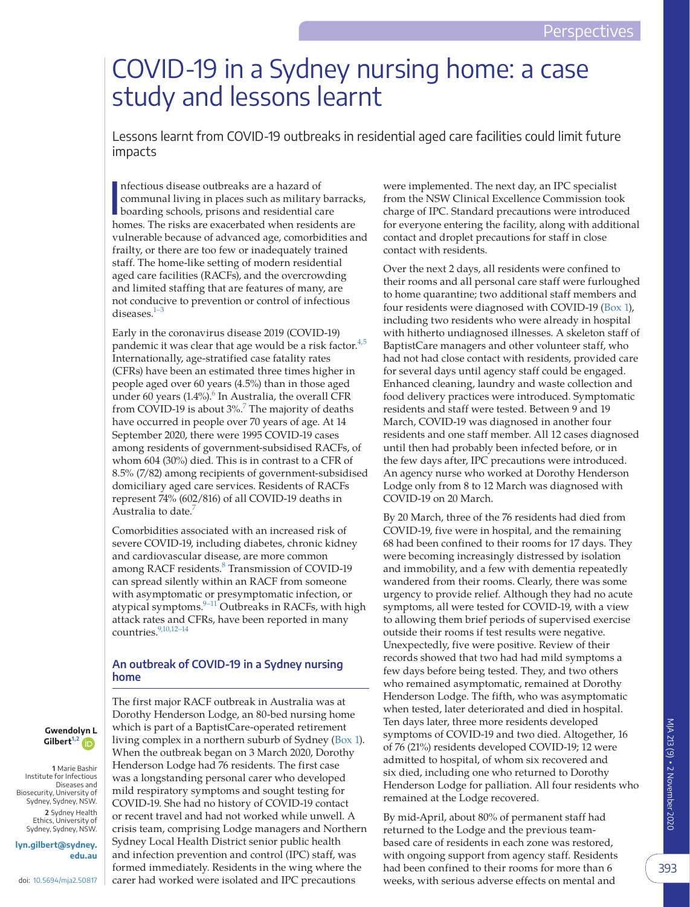# COVID-19 in a Sydney nursing home: a case study and lessons learnt

Lessons learnt from COVID-19 outbreaks in residential aged care facilities could limit future impacts

I nfectious disease outbreaks are a hazard of communal living in places such as military barracks, boarding schools, prisons and residential care homes. The risks are exacerbated when residents are vulnerable because of advanced age, comorbidities and frailty, or there are too few or inadequately trained staff. The home-like setting of modern residential aged care facilities (RACFs), and the overcrowding and limited staffing that are features of many, are not conducive to prevention or control of infectious diseases. $1-3$ 

Early in the coronavirus disease 2019 (COVID-19) pandemic it was clear that age would be a risk factor. $4,5$ Internationally, age-stratified case fatality rates (CFRs) have been an estimated three times higher in people aged over 60 years (4.5%) than in those aged under [6](#page-4-2)0 years  $(1.4\%)$ <sup>6</sup> In Australia, the overall CFR from COVID-19 is about  $3\%$ .<sup>[7](#page-4-3)</sup> The majority of deaths have occurred in people over 70 years of age. At 14 September 2020, there were 1995 COVID-19 cases among residents of government-subsidised RACFs, of whom 604 (30%) died. This is in contrast to a CFR of 8.5% (7/82) among recipients of government-subsidised domiciliary aged care services. Residents of RACFs represent 74% (602/816) of all COVID-19 deaths in Australia to date.<sup>7</sup>

Comorbidities associated with an increased risk of severe COVID-19, including diabetes, chronic kidney and cardiovascular disease, are more common among RACF residents.<sup>[8](#page-4-4)</sup> Transmission of COVID-19 can spread silently within an RACF from someone with asymptomatic or presymptomatic infection, or atypical symptoms. $9-11$  Outbreaks in RACFs, with high attack rates and CFRs, have been reported in many countries.<sup>9,10,12-14</sup>

## **An outbreak of COVID-19 in a Sydney nursing home**

The first major RACF outbreak in Australia was at Dorothy Henderson Lodge, an 80-bed nursing home which is part of a BaptistCare-operated retirement living complex in a northern suburb of Sydney [\(Box 1](#page-1-0)). When the outbreak began on 3 March 2020, Dorothy Henderson Lodge had 76 residents. The first case was a longstanding personal carer who developed mild respiratory symptoms and sought testing for COVID-19. She had no history of COVID-19 contact or recent travel and had not worked while unwell. A crisis team, comprising Lodge managers and Northern Sydney Local Health District senior public health and infection prevention and control (IPC) staff, was formed immediately. Residents in the wing where the carer had worked were isolated and IPC precautions

were implemented. The next day, an IPC specialist from the NSW Clinical Excellence Commission took charge of IPC. Standard precautions were introduced for everyone entering the facility, along with additional contact and droplet precautions for staff in close contact with residents.

Over the next 2 days, all residents were confined to their rooms and all personal care staff were furloughed to home quarantine; two additional staff members and four residents were diagnosed with COVID-19 ([Box 1\)](#page-1-0), including two residents who were already in hospital with hitherto undiagnosed illnesses. A skeleton staff of BaptistCare managers and other volunteer staff, who had not had close contact with residents, provided care for several days until agency staff could be engaged. Enhanced cleaning, laundry and waste collection and food delivery practices were introduced. Symptomatic residents and staff were tested. Between 9 and 19 March, COVID-19 was diagnosed in another four residents and one staff member. All 12 cases diagnosed until then had probably been infected before, or in the few days after, IPC precautions were introduced. An agency nurse who worked at Dorothy Henderson Lodge only from 8 to 12 March was diagnosed with COVID-19 on 20 March.

By 20 March, three of the 76 residents had died from COVID-19, five were in hospital, and the remaining 68 had been confined to their rooms for 17 days. They were becoming increasingly distressed by isolation and immobility, and a few with dementia repeatedly wandered from their rooms. Clearly, there was some urgency to provide relief. Although they had no acute symptoms, all were tested for COVID-19, with a view to allowing them brief periods of supervised exercise outside their rooms if test results were negative. Unexpectedly, five were positive. Review of their records showed that two had had mild symptoms a few days before being tested. They, and two others who remained asymptomatic, remained at Dorothy Henderson Lodge. The fifth, who was asymptomatic when tested, later deteriorated and died in hospital. Ten days later, three more residents developed symptoms of COVID-19 and two died. Altogether, 16 of 76 (21%) residents developed COVID-19; 12 were admitted to hospital, of whom six recovered and six died, including one who returned to Dorothy Henderson Lodge for palliation. All four residents who remained at the Lodge recovered.

By mid-April, about 80% of permanent staff had returned to the Lodge and the previous teambased care of residents in each zone was restored, with ongoing support from agency staff. Residents had been confined to their rooms for more than 6 weeks, with serious adverse effects on mental and

#### <span id="page-0-0"></span>**Gwendo[lyn L](https://orcid.org/0000-0001-7490-6727)  Gilbert[1,2](#page-0-0)**

**1**  Marie Bashir Institute for Infectious Diseases and Biosecurity, University of Sydney, Sydney, NSW. **2**  Sydney Health Ethics, University of Sydney, Sydney, NSW.

**[lyn.gilbert@sydney.](mailto:lyn.gilbert@sydney.edu.au) [edu.au](mailto:lyn.gilbert@sydney.edu.au)**

393

MJA 213 (9) •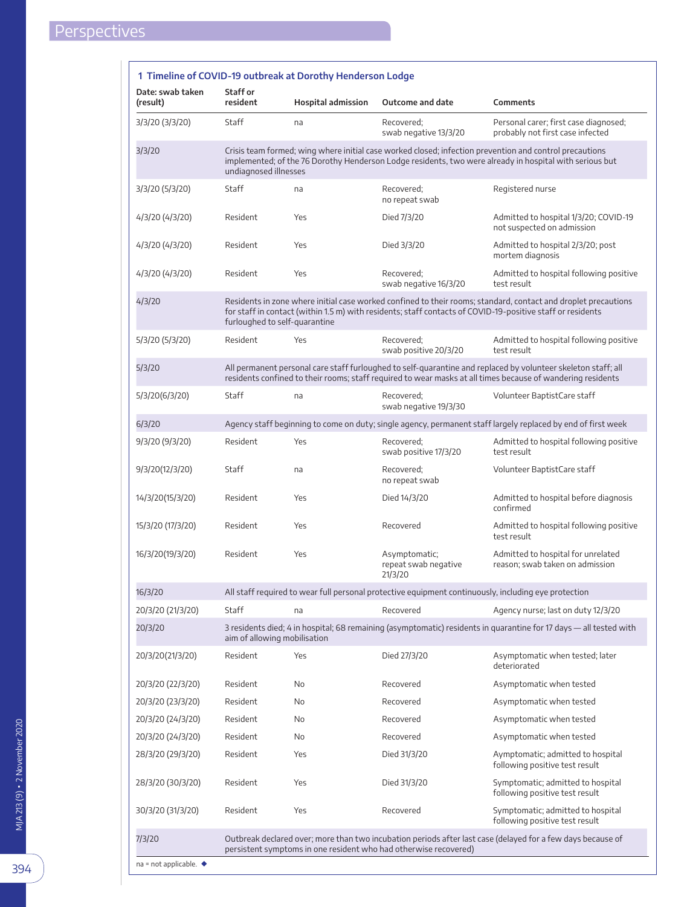<span id="page-1-0"></span>

| Date: swab taken<br>(result) | Staff or<br>resident                                                                                                                                                                                                                                          | <b>Hospital admission</b>                                        | Outcome and date                                 | Comments                                                                                                                                                                                                                     |
|------------------------------|---------------------------------------------------------------------------------------------------------------------------------------------------------------------------------------------------------------------------------------------------------------|------------------------------------------------------------------|--------------------------------------------------|------------------------------------------------------------------------------------------------------------------------------------------------------------------------------------------------------------------------------|
| 3/3/20 (3/3/20)              | Staff                                                                                                                                                                                                                                                         | na                                                               | Recovered;<br>swab negative 13/3/20              | Personal carer; first case diagnosed;<br>probably not first case infected                                                                                                                                                    |
| 3/3/20                       | undiagnosed illnesses                                                                                                                                                                                                                                         |                                                                  |                                                  | Crisis team formed; wing where initial case worked closed; infection prevention and control precautions<br>implemented; of the 76 Dorothy Henderson Lodge residents, two were already in hospital with serious but           |
| 3/3/20 (5/3/20)              | Staff                                                                                                                                                                                                                                                         | na                                                               | Recovered;<br>no repeat swab                     | Registered nurse                                                                                                                                                                                                             |
| 4/3/20 (4/3/20)              | Resident                                                                                                                                                                                                                                                      | Yes                                                              | Died 7/3/20                                      | Admitted to hospital 1/3/20; COVID-19<br>not suspected on admission                                                                                                                                                          |
| 4/3/20 (4/3/20)              | Resident                                                                                                                                                                                                                                                      | Yes                                                              | Died 3/3/20                                      | Admitted to hospital 2/3/20; post<br>mortem diagnosis                                                                                                                                                                        |
| 4/3/20 (4/3/20)              | Resident                                                                                                                                                                                                                                                      | Yes                                                              | Recovered:<br>swab negative 16/3/20              | Admitted to hospital following positive<br>test result                                                                                                                                                                       |
| 4/3/20                       | Residents in zone where initial case worked confined to their rooms; standard, contact and droplet precautions<br>for staff in contact (within 1.5 m) with residents; staff contacts of COVID-19-positive staff or residents<br>furloughed to self-quarantine |                                                                  |                                                  |                                                                                                                                                                                                                              |
| 5/3/20 (5/3/20)              | Resident                                                                                                                                                                                                                                                      | Yes                                                              | Recovered;<br>swab positive 20/3/20              | Admitted to hospital following positive<br>test result                                                                                                                                                                       |
| 5/3/20                       |                                                                                                                                                                                                                                                               |                                                                  |                                                  | All permanent personal care staff furloughed to self-quarantine and replaced by volunteer skeleton staff; all<br>residents confined to their rooms; staff required to wear masks at all times because of wandering residents |
| 5/3/20(6/3/20)               | Staff                                                                                                                                                                                                                                                         | na                                                               | Recovered;<br>swab negative 19/3/30              | Volunteer BaptistCare staff                                                                                                                                                                                                  |
| 6/3/20                       |                                                                                                                                                                                                                                                               |                                                                  |                                                  | Agency staff beginning to come on duty; single agency, permanent staff largely replaced by end of first week                                                                                                                 |
| 9/3/20 (9/3/20)              | Resident                                                                                                                                                                                                                                                      | Yes                                                              | Recovered;<br>swab positive 17/3/20              | Admitted to hospital following positive<br>test result                                                                                                                                                                       |
| 9/3/20(12/3/20)              | Staff                                                                                                                                                                                                                                                         | na                                                               | Recovered;<br>no repeat swab                     | Volunteer BaptistCare staff                                                                                                                                                                                                  |
| 14/3/20(15/3/20)             | Resident                                                                                                                                                                                                                                                      | Yes                                                              | Died 14/3/20                                     | Admitted to hospital before diagnosis<br>confirmed                                                                                                                                                                           |
| 15/3/20 (17/3/20)            | Resident                                                                                                                                                                                                                                                      | Yes                                                              | Recovered                                        | Admitted to hospital following positive<br>test result                                                                                                                                                                       |
| 16/3/20(19/3/20)             | Resident                                                                                                                                                                                                                                                      | Yes                                                              | Asymptomatic;<br>repeat swab negative<br>21/3/20 | Admitted to hospital for unrelated<br>reason: swab taken on admission                                                                                                                                                        |
| 16/3/20                      | All staff required to wear full personal protective equipment continuously, including eye protection                                                                                                                                                          |                                                                  |                                                  |                                                                                                                                                                                                                              |
| 20/3/20 (21/3/20)            | <b>Staff</b>                                                                                                                                                                                                                                                  | na                                                               | Recovered                                        | Agency nurse; last on duty 12/3/20                                                                                                                                                                                           |
| 20/3/20                      | 3 residents died; 4 in hospital; 68 remaining (asymptomatic) residents in quarantine for 17 days - all tested with<br>aim of allowing mobilisation                                                                                                            |                                                                  |                                                  |                                                                                                                                                                                                                              |
| 20/3/20(21/3/20)             | Resident                                                                                                                                                                                                                                                      | Yes                                                              | Died 27/3/20                                     | Asymptomatic when tested; later<br>deteriorated                                                                                                                                                                              |
| 20/3/20 (22/3/20)            | Resident                                                                                                                                                                                                                                                      | No                                                               | Recovered                                        | Asymptomatic when tested                                                                                                                                                                                                     |
| 20/3/20 (23/3/20)            | Resident                                                                                                                                                                                                                                                      | No                                                               | Recovered                                        | Asymptomatic when tested                                                                                                                                                                                                     |
| 20/3/20 (24/3/20)            | Resident                                                                                                                                                                                                                                                      | No                                                               | Recovered                                        | Asymptomatic when tested                                                                                                                                                                                                     |
| 20/3/20 (24/3/20)            | Resident                                                                                                                                                                                                                                                      | No                                                               | Recovered                                        | Asymptomatic when tested                                                                                                                                                                                                     |
| 28/3/20 (29/3/20)            | Resident                                                                                                                                                                                                                                                      | Yes                                                              | Died 31/3/20                                     | Aymptomatic; admitted to hospital<br>following positive test result                                                                                                                                                          |
| 28/3/20 (30/3/20)            | Resident                                                                                                                                                                                                                                                      | Yes                                                              | Died 31/3/20                                     | Symptomatic; admitted to hospital<br>following positive test result                                                                                                                                                          |
| 30/3/20 (31/3/20)            | Resident                                                                                                                                                                                                                                                      | Yes                                                              | Recovered                                        | Symptomatic; admitted to hospital<br>following positive test result                                                                                                                                                          |
| 7/3/20                       |                                                                                                                                                                                                                                                               | persistent symptoms in one resident who had otherwise recovered) |                                                  | Outbreak declared over; more than two incubation periods after last case (delayed for a few days because of                                                                                                                  |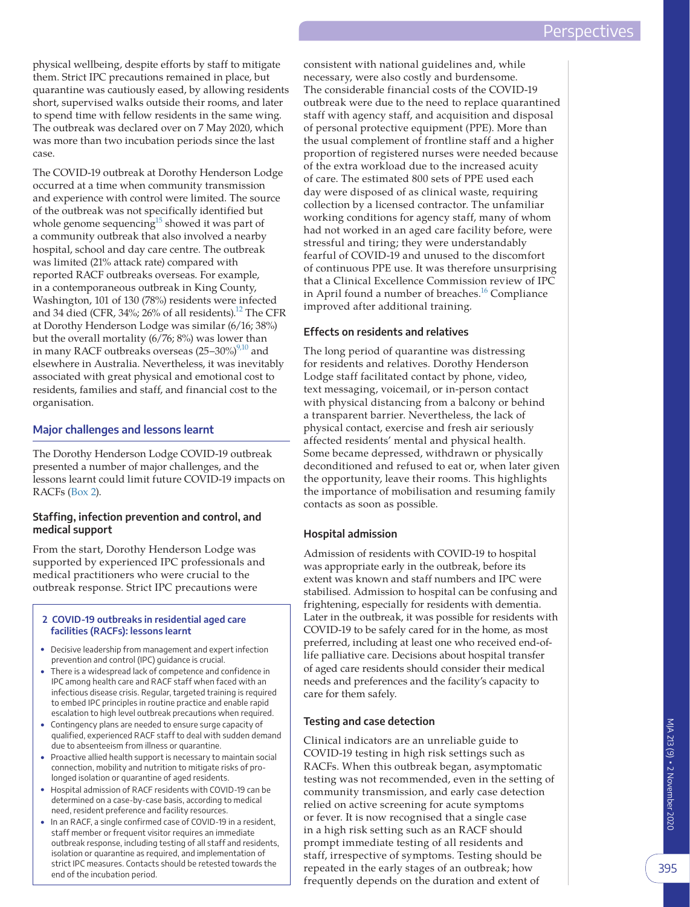physical wellbeing, despite efforts by staff to mitigate them. Strict IPC precautions remained in place, but quarantine was cautiously eased, by allowing residents short, supervised walks outside their rooms, and later to spend time with fellow residents in the same wing. The outbreak was declared over on 7 May 2020, which was more than two incubation periods since the last case.

The COVID-19 outbreak at Dorothy Henderson Lodge occurred at a time when community transmission and experience with control were limited. The source of the outbreak was not specifically identified but whole genome sequencing<sup>15</sup> showed it was part of a community outbreak that also involved a nearby hospital, school and day care centre. The outbreak was limited (21% attack rate) compared with reported RACF outbreaks overseas. For example, in a contemporaneous outbreak in King County, Washington, 101 of 130 (78%) residents were infected and 34 died (CFR, 34%; 26% of all residents).<sup>12</sup> The CFR at Dorothy Henderson Lodge was similar (6/16; 38%) but the overall mortality (6/76; 8%) was lower than in many RACF outbreaks overseas  $(25-30\%)^{9,10}$  and elsewhere in Australia. Nevertheless, it was inevitably associated with great physical and emotional cost to residents, families and staff, and financial cost to the organisation.

## **Major challenges and lessons learnt**

The Dorothy Henderson Lodge COVID-19 outbreak presented a number of major challenges, and the lessons learnt could limit future COVID-19 impacts on RACFs [\(Box 2\)](#page-2-0).

## **Staffing, infection prevention and control, and medical support**

From the start, Dorothy Henderson Lodge was supported by experienced IPC professionals and medical practitioners who were crucial to the outbreak response. Strict IPC precautions were

#### <span id="page-2-0"></span>**2 COVID-19 outbreaks in residential aged care facilities (RACFs): lessons learnt**

- Decisive leadership from management and expert infection prevention and control (IPC) guidance is crucial.
- There is a widespread lack of competence and confidence in IPC among health care and RACF staff when faced with an infectious disease crisis. Regular, targeted training is required to embed IPC principles in routine practice and enable rapid escalation to high level outbreak precautions when required.
- Contingency plans are needed to ensure surge capacity of qualified, experienced RACF staff to deal with sudden demand due to absenteeism from illness or quarantine.
- Proactive allied health support is necessary to maintain social connection, mobility and nutrition to mitigate risks of prolonged isolation or quarantine of aged residents.
- Hospital admission of RACF residents with COVID-19 can be determined on a case-by-case basis, according to medical need, resident preference and facility resources.
- In an RACF, a single confirmed case of COVID-19 in a resident, staff member or frequent visitor requires an immediate outbreak response, including testing of all staff and residents, isolation or quarantine as required, and implementation of strict IPC measures. Contacts should be retested towards the end of the incubation period.

consistent with national guidelines and, while necessary, were also costly and burdensome. The considerable financial costs of the COVID-19 outbreak were due to the need to replace quarantined staff with agency staff, and acquisition and disposal of personal protective equipment (PPE). More than the usual complement of frontline staff and a higher proportion of registered nurses were needed because of the extra workload due to the increased acuity of care. The estimated 800 sets of PPE used each day were disposed of as clinical waste, requiring collection by a licensed contractor. The unfamiliar working conditions for agency staff, many of whom had not worked in an aged care facility before, were stressful and tiring; they were understandably fearful of COVID-19 and unused to the discomfort of continuous PPE use. It was therefore unsurprising that a Clinical Excellence Commission review of IPC in April found a number of breaches.<sup>16</sup> Compliance improved after additional training.

# **Effects on residents and relatives**

The long period of quarantine was distressing for residents and relatives. Dorothy Henderson Lodge staff facilitated contact by phone, video, text messaging, voicemail, or in-person contact with physical distancing from a balcony or behind a transparent barrier. Nevertheless, the lack of physical contact, exercise and fresh air seriously affected residents' mental and physical health. Some became depressed, withdrawn or physically deconditioned and refused to eat or, when later given the opportunity, leave their rooms. This highlights the importance of mobilisation and resuming family contacts as soon as possible.

# **Hospital admission**

Admission of residents with COVID-19 to hospital was appropriate early in the outbreak, before its extent was known and staff numbers and IPC were stabilised. Admission to hospital can be confusing and frightening, especially for residents with dementia. Later in the outbreak, it was possible for residents with COVID-19 to be safely cared for in the home, as most preferred, including at least one who received end-oflife palliative care. Decisions about hospital transfer of aged care residents should consider their medical needs and preferences and the facility's capacity to care for them safely.

# **Testing and case detection**

Clinical indicators are an unreliable guide to COVID-19 testing in high risk settings such as RACFs. When this outbreak began, asymptomatic testing was not recommended, even in the setting of community transmission, and early case detection relied on active screening for acute symptoms or fever. It is now recognised that a single case in a high risk setting such as an RACF should prompt immediate testing of all residents and staff, irrespective of symptoms. Testing should be repeated in the early stages of an outbreak; how frequently depends on the duration and extent of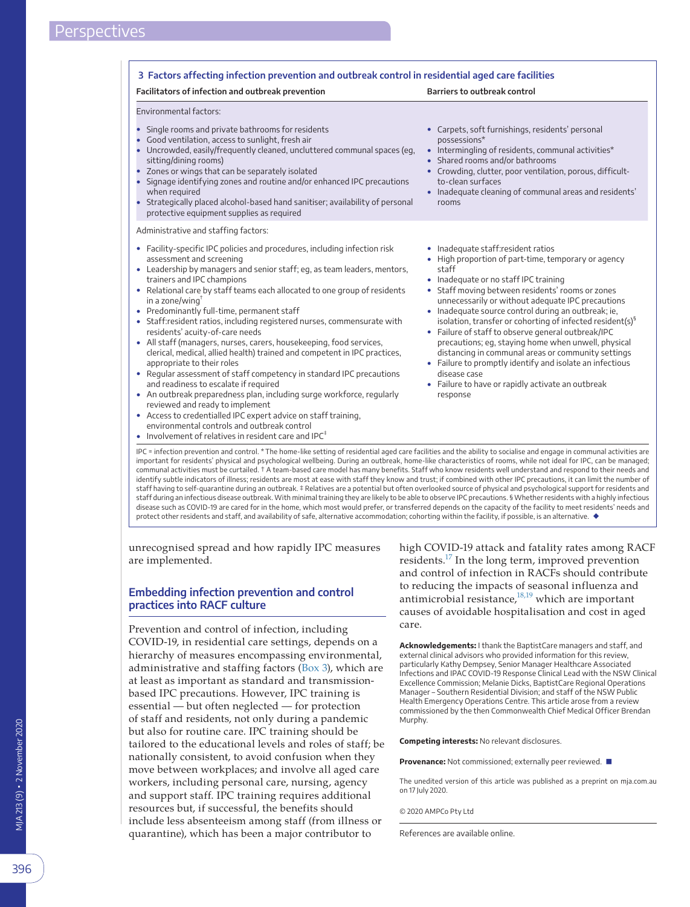<span id="page-3-0"></span>

| Facilitators of infection and outbreak prevention                                                                                                                                                                                                                                                                                                                                                                                                                                                                                                                                                                                                                                                                                                                                                                                                                                                           | <b>Barriers to outbreak control</b>                                                                                                                                                                                                                                                                                                                                                                                                                                                                                                                                                                                                                                                                  |
|-------------------------------------------------------------------------------------------------------------------------------------------------------------------------------------------------------------------------------------------------------------------------------------------------------------------------------------------------------------------------------------------------------------------------------------------------------------------------------------------------------------------------------------------------------------------------------------------------------------------------------------------------------------------------------------------------------------------------------------------------------------------------------------------------------------------------------------------------------------------------------------------------------------|------------------------------------------------------------------------------------------------------------------------------------------------------------------------------------------------------------------------------------------------------------------------------------------------------------------------------------------------------------------------------------------------------------------------------------------------------------------------------------------------------------------------------------------------------------------------------------------------------------------------------------------------------------------------------------------------------|
| Environmental factors:<br>Single rooms and private bathrooms for residents<br>$\bullet$<br>Good ventilation, access to sunlight, fresh air<br>Uncrowded, easily/frequently cleaned, uncluttered communal spaces (eq,<br>sitting/dining rooms)<br>• Zones or wings that can be separately isolated<br>Signage identifying zones and routine and/or enhanced IPC precautions<br>$\bullet$<br>when required<br>• Strategically placed alcohol-based hand sanitiser; availability of personal<br>protective equipment supplies as required                                                                                                                                                                                                                                                                                                                                                                      | • Carpets, soft furnishings, residents' personal<br>possessions*<br>• Intermingling of residents, communal activities*<br>• Shared rooms and/or bathrooms<br>• Crowding, clutter, poor ventilation, porous, difficult-<br>to-clean surfaces<br>• Inadequate cleaning of communal areas and residents'<br>rooms                                                                                                                                                                                                                                                                                                                                                                                       |
| Administrative and staffing factors:<br>• Facility-specific IPC policies and procedures, including infection risk<br>assessment and screening<br>• Leadership by managers and senior staff; eg, as team leaders, mentors,<br>trainers and IPC champions<br>• Relational care by staff teams each allocated to one group of residents<br>in a zone/wing $^{\dagger}$<br>• Predominantly full-time, permanent staff<br>• Staff:resident ratios, including registered nurses, commensurate with<br>residents' acuity-of-care needs<br>• All staff (managers, nurses, carers, housekeeping, food services,<br>clerical, medical, allied health) trained and competent in IPC practices,<br>appropriate to their roles<br>• Regular assessment of staff competency in standard IPC precautions<br>and readiness to escalate if required<br>• An outbreak preparedness plan, including surge workforce, regularly | • Inadequate staff:resident ratios<br>• High proportion of part-time, temporary or agency<br>staff<br>• Inadequate or no staff IPC training<br>• Staff moving between residents' rooms or zones<br>unnecessarily or without adequate IPC precautions<br>• Inadequate source control during an outbreak; ie,<br>isolation, transfer or cohorting of infected resident(s) <sup>§</sup><br>• Failure of staff to observe general outbreak/IPC<br>precautions; eg, staying home when unwell, physical<br>distancing in communal areas or community settings<br>• Failure to promptly identify and isolate an infectious<br>disease case<br>• Failure to have or rapidly activate an outbreak<br>response |
| reviewed and ready to implement<br>• Access to credentialled IPC expert advice on staff training,<br>environmental controls and outbreak control<br>Involvement of relatives in resident care and IPC $^{\ddagger}$<br>IPC = infection prevention and control. * The home-like setting of residential aged care facilities and the ability to socialise and engage in communal activities are                                                                                                                                                                                                                                                                                                                                                                                                                                                                                                               |                                                                                                                                                                                                                                                                                                                                                                                                                                                                                                                                                                                                                                                                                                      |

important for residents' physical and psychological wellbeing. During an outbreak, home-like characteristics of rooms, while not ideal for IPC, can be managed; communal activities must be curtailed. † A team-based care model has many benefits. Staff who know residents well understand and respond to their needs and identify subtle indicators of illness; residents are most at ease with staff they know and trust; if combined with other IPC precautions, it can limit the number of staff having to self-quarantine during an outbreak. ‡ Relatives are a potential but often overlooked source of physical and psychological support for residents and staff during an infectious disease outbreak. With minimal training they are likely to be able to observe IPC precautions. § Whether residents with a highly infectious disease such as COVID-19 are cared for in the home, which most would prefer, or transferred depends on the capacity of the facility to meet residents' needs and protect other residents and staff, and availability of safe, alternative accommodation; cohorting within the facility, if possible, is an alternative. ◆

unrecognised spread and how rapidly IPC measures are implemented.

### **Embedding infection prevention and control practices into RACF culture**

Prevention and control of infection, including COVID-19, in residential care settings, depends on a hierarchy of measures encompassing environmental, administrative and staffing factors [\(Box 3](#page-3-0)), which are at least as important as standard and transmissionbased IPC precautions. However, IPC training is essential — but often neglected — for protection of staff and residents, not only during a pandemic but also for routine care. IPC training should be tailored to the educational levels and roles of staff; be nationally consistent, to avoid confusion when they move between workplaces; and involve all aged care workers, including personal care, nursing, agency and support staff. IPC training requires additional resources but, if successful, the benefits should include less absenteeism among staff (from illness or quarantine), which has been a major contributor to

high COVID-19 attack and fatality rates among RACF residents.<sup>17</sup> In the long term, improved prevention and control of infection in RACFs should contribute to reducing the impacts of seasonal influenza and antimicrobial resistance, $18,19$  which are important causes of avoidable hospitalisation and cost in aged care.

**Acknowledgements:** I thank the BaptistCare managers and staff, and external clinical advisors who provided information for this review, particularly Kathy Dempsey, Senior Manager Healthcare Associated Infections and IPAC COVID-19 Response Clinical Lead with the NSW Clinical Excellence Commission; Melanie Dicks, BaptistCare Regional Operations Manager – Southern Residential Division; and staff of the NSW Public Health Emergency Operations Centre. This article arose from a review commissioned by the then Commonwealth Chief Medical Officer Brendan Murphy.

**Competing interests:** No relevant disclosures.

**Provenance:** Not commissioned; externally peer reviewed. ■

The unedited version of this article was published as a preprint on mja.com.au on 17 July 2020.

© 2020 AMPCo Pty Ltd

References are available online.